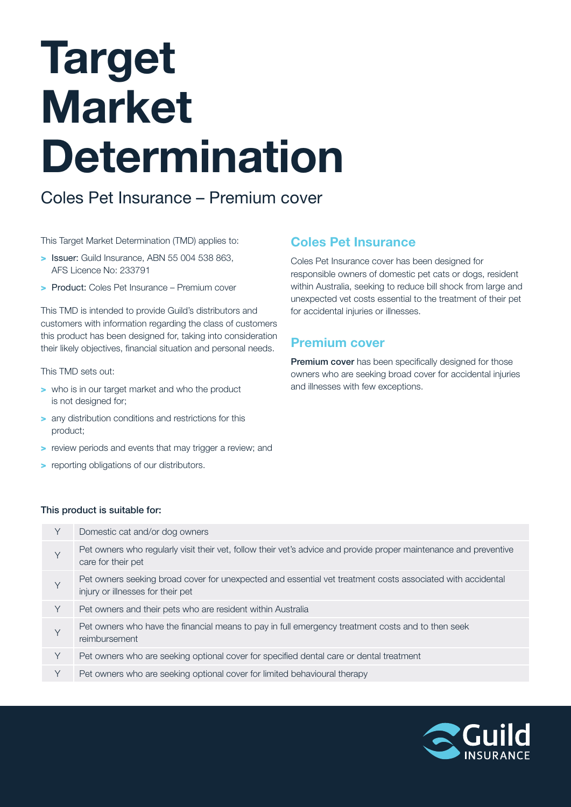# Target Market Determination

Coles Pet Insurance – Premium cover

This Target Market Determination (TMD) applies to:

- > Issuer: Guild Insurance, ABN 55 004 538 863, AFS Licence No: 233791
- > Product: Coles Pet Insurance Premium cover

This TMD is intended to provide Guild's distributors and customers with information regarding the class of customers this product has been designed for, taking into consideration their likely objectives, financial situation and personal needs.

#### This TMD sets out:

- > who is in our target market and who the product is not designed for;
- > any distribution conditions and restrictions for this product;
- > review periods and events that may trigger a review; and
- > reporting obligations of our distributors.

## Coles Pet Insurance

Coles Pet Insurance cover has been designed for responsible owners of domestic pet cats or dogs, resident within Australia, seeking to reduce bill shock from large and unexpected vet costs essential to the treatment of their pet for accidental injuries or illnesses.

# Premium cover

Premium cover has been specifically designed for those owners who are seeking broad cover for accidental injuries and illnesses with few exceptions.

#### This product is suitable for:

| Υ | Domestic cat and/or dog owners                                                                                                                  |
|---|-------------------------------------------------------------------------------------------------------------------------------------------------|
| Y | Pet owners who regularly visit their vet, follow their vet's advice and provide proper maintenance and preventive<br>care for their pet         |
| Y | Pet owners seeking broad cover for unexpected and essential vet treatment costs associated with accidental<br>injury or illnesses for their pet |
| Y | Pet owners and their pets who are resident within Australia                                                                                     |
| Υ | Pet owners who have the financial means to pay in full emergency treatment costs and to then seek<br>reimbursement                              |
| Y | Pet owners who are seeking optional cover for specified dental care or dental treatment                                                         |
| Y | Pet owners who are seeking optional cover for limited behavioural therapy                                                                       |
|   |                                                                                                                                                 |

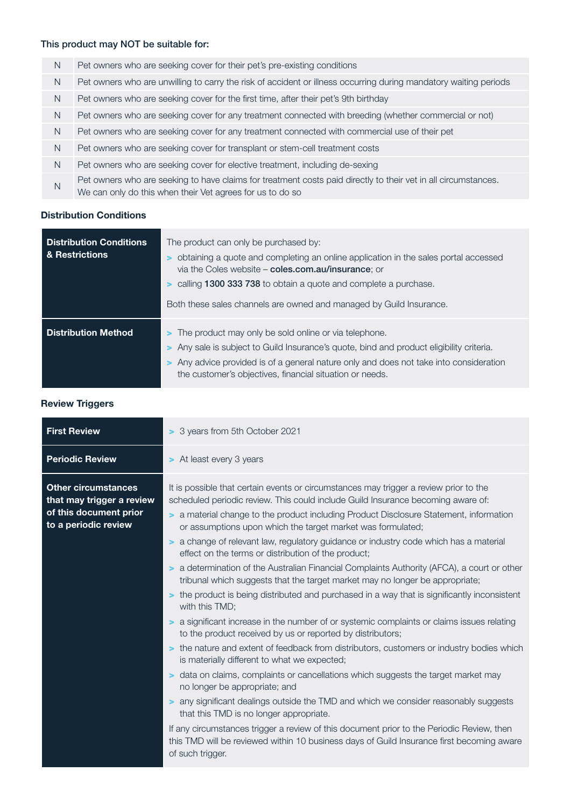### This product may NOT be suitable for:

| N  | Pet owners who are seeking cover for their pet's pre-existing conditions                                                                                                    |
|----|-----------------------------------------------------------------------------------------------------------------------------------------------------------------------------|
| N  | Pet owners who are unwilling to carry the risk of accident or illness occurring during mandatory waiting periods                                                            |
| N  | Pet owners who are seeking cover for the first time, after their pet's 9th birthday                                                                                         |
| N. | Pet owners who are seeking cover for any treatment connected with breeding (whether commercial or not)                                                                      |
| N. | Pet owners who are seeking cover for any treatment connected with commercial use of their pet                                                                               |
| N. | Pet owners who are seeking cover for transplant or stem-cell treatment costs                                                                                                |
| N  | Pet owners who are seeking cover for elective treatment, including de-sexing                                                                                                |
| N  | Pet owners who are seeking to have claims for treatment costs paid directly to their vet in all circumstances.<br>We can only do this when their Vet agrees for us to do so |

#### Distribution Conditions

| <b>Distribution Conditions</b><br>& Restrictions | The product can only be purchased by:<br>> obtaining a quote and completing an online application in the sales portal accessed<br>via the Coles website - coles.com.au/insurance; or<br><b>&gt;</b> calling 1300 333 738 to obtain a quote and complete a purchase.<br>Both these sales channels are owned and managed by Guild Insurance. |  |
|--------------------------------------------------|--------------------------------------------------------------------------------------------------------------------------------------------------------------------------------------------------------------------------------------------------------------------------------------------------------------------------------------------|--|
| <b>Distribution Method</b>                       | > The product may only be sold online or via telephone.<br>> Any sale is subject to Guild Insurance's quote, bind and product eligibility criteria.<br>> Any advice provided is of a general nature only and does not take into consideration<br>the customer's objectives, financial situation or needs.                                  |  |

Review Triggers

| <b>First Review</b>                                                                                       | > 3 years from 5th October 2021                                                                                                                                                                                                                                                                                                                                                                                                                                                                                                                                                                                                                                                                                                                                                                                                                                                                                                                                                                                                                                                                                                                                                                                                                                                                                                                                                                                                                                                                                                                                      |  |  |
|-----------------------------------------------------------------------------------------------------------|----------------------------------------------------------------------------------------------------------------------------------------------------------------------------------------------------------------------------------------------------------------------------------------------------------------------------------------------------------------------------------------------------------------------------------------------------------------------------------------------------------------------------------------------------------------------------------------------------------------------------------------------------------------------------------------------------------------------------------------------------------------------------------------------------------------------------------------------------------------------------------------------------------------------------------------------------------------------------------------------------------------------------------------------------------------------------------------------------------------------------------------------------------------------------------------------------------------------------------------------------------------------------------------------------------------------------------------------------------------------------------------------------------------------------------------------------------------------------------------------------------------------------------------------------------------------|--|--|
| <b>Periodic Review</b>                                                                                    | > At least every 3 years                                                                                                                                                                                                                                                                                                                                                                                                                                                                                                                                                                                                                                                                                                                                                                                                                                                                                                                                                                                                                                                                                                                                                                                                                                                                                                                                                                                                                                                                                                                                             |  |  |
| <b>Other circumstances</b><br>that may trigger a review<br>of this document prior<br>to a periodic review | It is possible that certain events or circumstances may trigger a review prior to the<br>scheduled periodic review. This could include Guild Insurance becoming aware of:<br>> a material change to the product including Product Disclosure Statement, information<br>or assumptions upon which the target market was formulated;<br>> a change of relevant law, regulatory guidance or industry code which has a material<br>effect on the terms or distribution of the product;<br>> a determination of the Australian Financial Complaints Authority (AFCA), a court or other<br>tribunal which suggests that the target market may no longer be appropriate;<br>> the product is being distributed and purchased in a way that is significantly inconsistent<br>with this TMD;<br>> a significant increase in the number of or systemic complaints or claims issues relating<br>to the product received by us or reported by distributors;<br>> the nature and extent of feedback from distributors, customers or industry bodies which<br>is materially different to what we expected;<br>• data on claims, complaints or cancellations which suggests the target market may<br>no longer be appropriate; and<br>> any significant dealings outside the TMD and which we consider reasonably suggests<br>that this TMD is no longer appropriate.<br>If any circumstances trigger a review of this document prior to the Periodic Review, then<br>this TMD will be reviewed within 10 business days of Guild Insurance first becoming aware<br>of such trigger. |  |  |